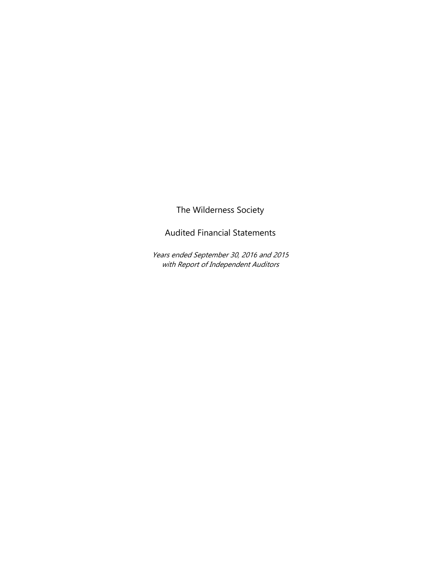

Audited Financial Statements

Years ended September 30, 2016 and 2015 with Report of Independent Auditors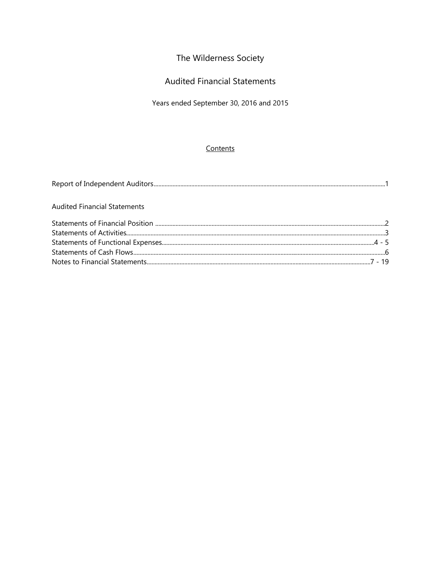## **Audited Financial Statements**

Years ended September 30, 2016 and 2015

## Contents

| <b>Audited Financial Statements</b> |  |
|-------------------------------------|--|
|                                     |  |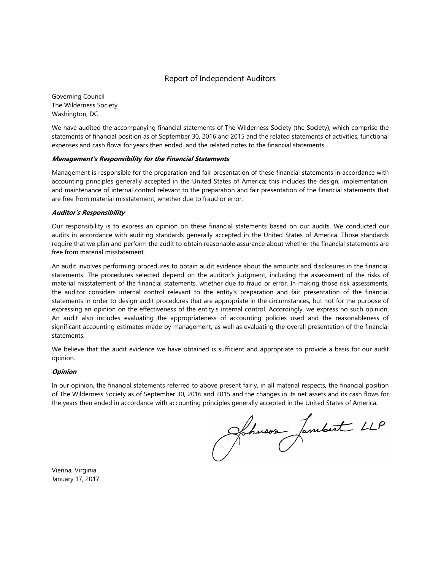

#### Report of Independent Auditors

Governing Council The Wilderness Society Washington, DC

We have audited the accompanying financial statements of The Wilderness Society (the Society), which comprise the statements of financial position as of September 30, 2016 and 2015 and the related statements of activities, functional expenses and cash flows for years then ended, and the related notes to the financial statements.

#### **Management's Responsibility for the Financial Statements**

Management is responsible for the preparation and fair presentation of these financial statements in accordance with accounting principles generally accepted in the United States of America; this includes the design, implementation, and maintenance of internal control relevant to the preparation and fair presentation of the financial statements that are free from material misstatement, whether due to fraud or error.

#### **Auditor's Responsibility**

Our responsibility is to express an opinion on these financial statements based on our audits. We conducted our audits in accordance with auditing standards generally accepted in the United States of America. Those standards require that we plan and perform the audit to obtain reasonable assurance about whether the financial statements are free from material misstatement.

An audit involves performing procedures to obtain audit evidence about the amounts and disclosures in the financial statements. The procedures selected depend on the auditor's judgment, including the assessment of the risks of material misstatement of the financial statements, whether due to fraud or error. In making those risk assessments, the auditor considers internal control relevant to the entity's preparation and fair presentation of the financial statements in order to design audit procedures that are appropriate in the circumstances, but not for the purpose of expressing an opinion on the effectiveness of the entity's internal control. Accordingly, we express no such opinion. An audit also includes evaluating the appropriateness of accounting policies used and the reasonableness of significant accounting estimates made by management, as well as evaluating the overall presentation of the financial statements.

We believe that the audit evidence we have obtained is sufficient and appropriate to provide a basis for our audit opinion.

#### **Opinion**

In our opinion, the financial statements referred to above present fairly, in all material respects, the financial position of The Wilderness Society as of September 30, 2016 and 2015 and the changes in its net assets and its cash flows for the years then ended in accordance with accounting principles generally accepted in the United States of America.

Johnson Jambert LLP

Vienna, Virginia January 17, 2017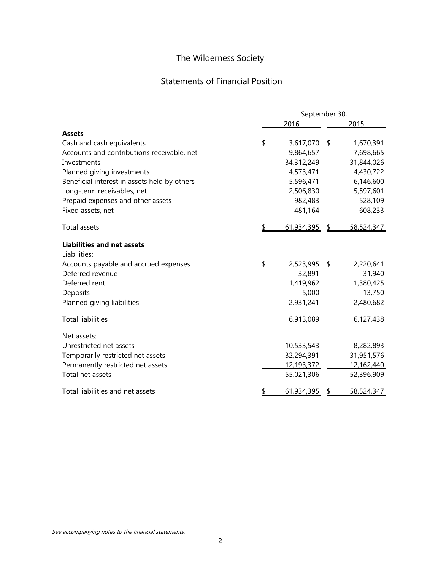## Statements of Financial Position

|                                              | September 30, |            |    |            |  |  |  |  |
|----------------------------------------------|---------------|------------|----|------------|--|--|--|--|
|                                              |               | 2016       |    | 2015       |  |  |  |  |
| <b>Assets</b>                                |               |            |    |            |  |  |  |  |
| Cash and cash equivalents                    | \$            | 3,617,070  | \$ | 1,670,391  |  |  |  |  |
| Accounts and contributions receivable, net   |               | 9,864,657  |    | 7,698,665  |  |  |  |  |
| Investments                                  |               | 34,312,249 |    | 31,844,026 |  |  |  |  |
| Planned giving investments                   |               | 4,573,471  |    | 4,430,722  |  |  |  |  |
| Beneficial interest in assets held by others |               | 5,596,471  |    | 6,146,600  |  |  |  |  |
| Long-term receivables, net                   |               | 2,506,830  |    | 5,597,601  |  |  |  |  |
| Prepaid expenses and other assets            |               | 982,483    |    | 528,109    |  |  |  |  |
| Fixed assets, net                            |               | 481,164    |    | 608,233    |  |  |  |  |
| Total assets                                 |               | 61,934,395 |    | 58,524,347 |  |  |  |  |
| <b>Liabilities and net assets</b>            |               |            |    |            |  |  |  |  |
| Liabilities:                                 |               |            |    |            |  |  |  |  |
| Accounts payable and accrued expenses        | \$            | 2,523,995  | \$ | 2,220,641  |  |  |  |  |
| Deferred revenue                             |               | 32,891     |    | 31,940     |  |  |  |  |
| Deferred rent                                |               | 1,419,962  |    | 1,380,425  |  |  |  |  |
| Deposits                                     |               | 5,000      |    | 13,750     |  |  |  |  |
| Planned giving liabilities                   |               | 2,931,241  |    | 2,480,682  |  |  |  |  |
| <b>Total liabilities</b>                     |               | 6,913,089  |    | 6,127,438  |  |  |  |  |
| Net assets:                                  |               |            |    |            |  |  |  |  |
| Unrestricted net assets                      |               | 10,533,543 |    | 8,282,893  |  |  |  |  |
| Temporarily restricted net assets            |               | 32,294,391 |    | 31,951,576 |  |  |  |  |
| Permanently restricted net assets            |               | 12,193,372 |    | 12,162,440 |  |  |  |  |
| Total net assets                             |               | 55,021,306 |    | 52,396,909 |  |  |  |  |
| Total liabilities and net assets             |               | 61,934,395 |    | 58,524,347 |  |  |  |  |

See accompanying notes to the financial statements.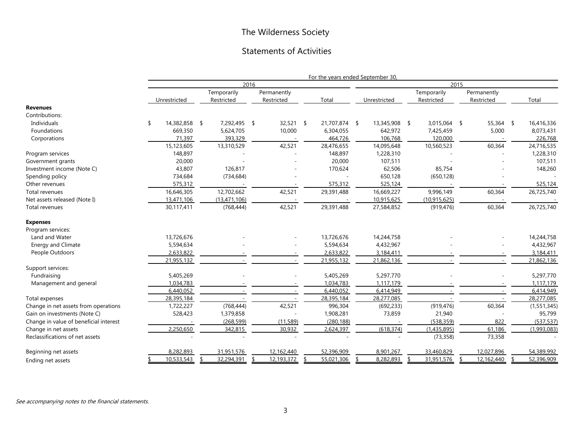#### Statements of Activities

|                                        |                     |  |                |      |             | For the years ended September 30, |               |                |             |             |
|----------------------------------------|---------------------|--|----------------|------|-------------|-----------------------------------|---------------|----------------|-------------|-------------|
|                                        |                     |  |                | 2016 |             |                                   |               | 2015           |             |             |
|                                        |                     |  | Temporarily    |      | Permanently |                                   |               | Temporarily    | Permanently |             |
|                                        | Unrestricted        |  | Restricted     |      | Restricted  | Total                             | Unrestricted  | Restricted     | Restricted  | Total       |
| <b>Revenues</b>                        |                     |  |                |      |             |                                   |               |                |             |             |
| Contributions:                         |                     |  |                |      |             |                                   |               |                |             |             |
| Individuals                            | \$<br>14,382,858 \$ |  | 7,292,495 \$   |      | 32,521 \$   | 21,707,874 \$                     | 13,345,908 \$ | 3,015,064 \$   | 55,364 \$   | 16,416,336  |
| Foundations                            | 669,350             |  | 5,624,705      |      | 10,000      | 6,304,055                         | 642,972       | 7,425,459      | 5,000       | 8,073,431   |
| Corporations                           | 71,397              |  | 393,329        |      |             | 464,726                           | 106,768       | 120,000        |             | 226,768     |
|                                        | 15,123,605          |  | 13,310,529     |      | 42,521      | 28,476,655                        | 14,095,648    | 10,560,523     | 60,364      | 24,716,535  |
| Program services                       | 148,897             |  |                |      |             | 148,897                           | 1,228,310     |                |             | 1,228,310   |
| Government grants                      | 20,000              |  |                |      |             | 20,000                            | 107,511       |                |             | 107,511     |
| Investment income (Note C)             | 43,807              |  | 126,817        |      |             | 170,624                           | 62,506        | 85,754         |             | 148,260     |
| Spending policy                        | 734,684             |  | (734, 684)     |      |             |                                   | 650,128       | (650, 128)     |             |             |
| Other revenues                         | 575,312             |  |                |      |             | 575,312                           | 525,124       |                |             | 525,124     |
| Total revenues                         | 16,646,305          |  | 12,702,662     |      | 42,521      | 29,391,488                        | 16,669,227    | 9,996,149      | 60,364      | 26,725,740  |
| Net assets released (Note I)           | 13,471,106          |  | (13, 471, 106) |      |             |                                   | 10,915,625    | (10, 915, 625) |             |             |
| Total revenues                         | 30,117,411          |  | (768, 444)     |      | 42,521      | 29,391,488                        | 27,584,852    | (919, 476)     | 60,364      | 26,725,740  |
| <b>Expenses</b>                        |                     |  |                |      |             |                                   |               |                |             |             |
| Program services:                      |                     |  |                |      |             |                                   |               |                |             |             |
| Land and Water                         | 13,726,676          |  |                |      |             | 13,726,676                        | 14,244,758    |                |             | 14,244,758  |
| Energy and Climate                     | 5,594,634           |  |                |      |             | 5,594,634                         | 4,432,967     |                |             | 4,432,967   |
| People Outdoors                        | 2,633,822           |  |                |      |             | 2,633,822                         | 3,184,411     |                |             | 3,184,411   |
|                                        | 21,955,132          |  |                |      |             | 21,955,132                        | 21,862,136    |                |             | 21,862,136  |
| Support services:                      |                     |  |                |      |             |                                   |               |                |             |             |
| Fundraising                            | 5,405,269           |  |                |      |             | 5,405,269                         | 5,297,770     |                |             | 5,297,770   |
| Management and general                 | 1,034,783           |  |                |      |             | 1,034,783                         | 1,117,179     |                |             | 1,117,179   |
|                                        | 6,440,052           |  |                |      |             | 6,440,052                         | 6,414,949     |                |             | 6,414,949   |
| Total expenses                         | 28,395,184          |  |                |      |             | 28,395,184                        | 28,277,085    |                |             | 28,277,085  |
| Change in net assets from operations   | 1,722,227           |  | (768, 444)     |      | 42,521      | 996,304                           | (692, 233)    | (919, 476)     | 60,364      | (1,551,345) |
| Gain on investments (Note C)           | 528,423             |  | 1,379,858      |      |             | 1,908,281                         | 73,859        | 21,940         |             | 95,799      |
| Change in value of beneficial interest |                     |  | (268, 599)     |      | (11, 589)   | (280, 188)                        |               | (538, 359)     | 822         | (537, 537)  |
| Change in net assets                   | 2,250,650           |  | 342,815        |      | 30,932      | 2,624,397                         | (618, 374)    | (1,435,895)    | 61,186      | (1,993,083) |
| Reclassifications of net assets        |                     |  |                |      |             |                                   |               | (73, 358)      | 73,358      |             |
| Beginning net assets                   | 8,282,893           |  | 31,951,576     |      | 12,162,440  | 52,396,909                        | 8,901,267     | 33,460,829     | 12,027,896  | 54,389,992  |
| Ending net assets                      | 10,533,543          |  | 32,294,391     |      | 12,193,372  | \$<br>55,021,306                  | 8,282,893     | 31,951,576     | 12,162,440  | 52,396,909  |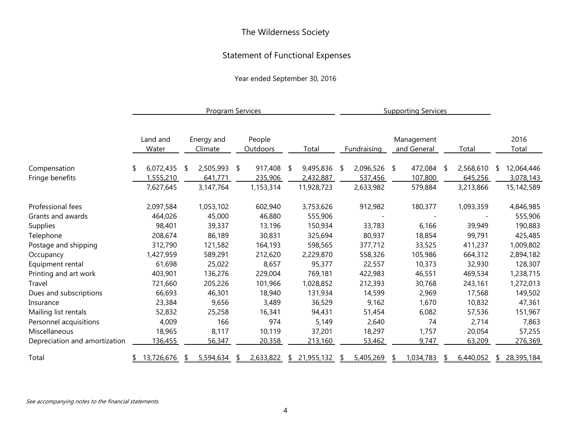## Statement of Functional Expenses

Year ended September 30, 2016

|                               |                   |   | <b>Program Services</b> |     |                           |                 | <b>Supporting Services</b> |             |    |                           |    |           |   |               |
|-------------------------------|-------------------|---|-------------------------|-----|---------------------------|-----------------|----------------------------|-------------|----|---------------------------|----|-----------|---|---------------|
|                               | Land and<br>Water |   | Energy and<br>Climate   |     | People<br><b>Outdoors</b> | Total           |                            | Fundraising |    | Management<br>and General |    | Total     |   | 2016<br>Total |
| Compensation                  | 6,072,435         | S | 2,505,993               | -\$ | 917,408                   | \$<br>9,495,836 | - \$                       | 2,096,526   | \$ | 472,084                   | -S | 2,568,610 | S | 12,064,446    |
| Fringe benefits               | 1,555,210         |   | 641,771                 |     | 235,906                   | 2,432,887       |                            | 537,456     |    | 107,800                   |    | 645,256   |   | 3,078,143     |
|                               | 7,627,645         |   | 3,147,764               |     | 1,153,314                 | 11,928,723      |                            | 2,633,982   |    | 579,884                   |    | 3,213,866 |   | 15,142,589    |
| Professional fees             | 2,097,584         |   | 1,053,102               |     | 602,940                   | 3,753,626       |                            | 912,982     |    | 180,377                   |    | 1,093,359 |   | 4,846,985     |
| Grants and awards             | 464,026           |   | 45,000                  |     | 46,880                    | 555,906         |                            |             |    |                           |    |           |   | 555,906       |
| <b>Supplies</b>               | 98,401            |   | 39,337                  |     | 13,196                    | 150,934         |                            | 33,783      |    | 6,166                     |    | 39,949    |   | 190,883       |
| Telephone                     | 208,674           |   | 86,189                  |     | 30,831                    | 325,694         |                            | 80,937      |    | 18,854                    |    | 99,791    |   | 425,485       |
| Postage and shipping          | 312,790           |   | 121,582                 |     | 164,193                   | 598,565         |                            | 377,712     |    | 33,525                    |    | 411,237   |   | 1,009,802     |
| Occupancy                     | 1,427,959         |   | 589,291                 |     | 212,620                   | 2,229,870       |                            | 558,326     |    | 105,986                   |    | 664,312   |   | 2,894,182     |
| Equipment rental              | 61,698            |   | 25,022                  |     | 8,657                     | 95,377          |                            | 22,557      |    | 10,373                    |    | 32,930    |   | 128,307       |
| Printing and art work         | 403,901           |   | 136,276                 |     | 229,004                   | 769,181         |                            | 422,983     |    | 46,551                    |    | 469,534   |   | 1,238,715     |
| Travel                        | 721,660           |   | 205,226                 |     | 101,966                   | 1,028,852       |                            | 212,393     |    | 30,768                    |    | 243,161   |   | 1,272,013     |
| Dues and subscriptions        | 66,693            |   | 46,301                  |     | 18,940                    | 131,934         |                            | 14,599      |    | 2,969                     |    | 17,568    |   | 149,502       |
| Insurance                     | 23,384            |   | 9,656                   |     | 3,489                     | 36,529          |                            | 9,162       |    | 1,670                     |    | 10,832    |   | 47,361        |
| Mailing list rentals          | 52,832            |   | 25,258                  |     | 16,341                    | 94,431          |                            | 51,454      |    | 6,082                     |    | 57,536    |   | 151,967       |
| Personnel acquisitions        | 4,009             |   | 166                     |     | 974                       | 5,149           |                            | 2,640       |    | 74                        |    | 2,714     |   | 7,863         |
| Miscellaneous                 | 18,965            |   | 8,117                   |     | 10,119                    | 37,201          |                            | 18,297      |    | 1,757                     |    | 20,054    |   | 57,255        |
| Depreciation and amortization | 136,455           |   | 56,347                  |     | 20,358                    | 213,160         |                            | 53,462      |    | 9,747                     |    | 63,209    |   | 276,369       |
| Total                         | 13,726,676        |   | 5,594,634               |     | 2,633,822                 | 21,955,132      |                            | 5,405,269   |    | 1,034,783                 |    | 6,440,052 |   | 28,395,184    |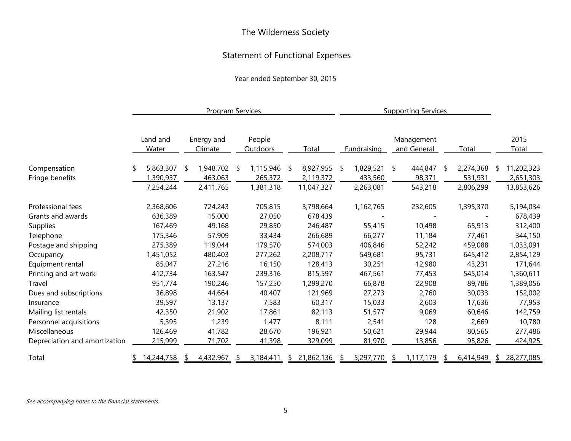## Statement of Functional Expenses

Year ended September 30, 2015

|                               |                          |   | <b>Program Services</b> |     |                           |     |            | <b>Supporting Services</b> |             |    |                           |    |           |   |               |
|-------------------------------|--------------------------|---|-------------------------|-----|---------------------------|-----|------------|----------------------------|-------------|----|---------------------------|----|-----------|---|---------------|
|                               | Land and<br><b>Water</b> |   | Energy and<br>Climate   |     | People<br><b>Outdoors</b> |     | Total      |                            | Fundraising |    | Management<br>and General |    | Total     |   | 2015<br>Total |
| Compensation                  | 5,863,307                | S | 1,948,702               | -\$ | 1,115,946                 | -\$ | 8,927,955  | - \$                       | 1,829,521   | \$ | 444,847                   | -S | 2,274,368 | S | 11,202,323    |
| Fringe benefits               | 1,390,937                |   | 463,063                 |     | 265,372                   |     | 2,119,372  |                            | 433,560     |    | 98,371                    |    | 531,931   |   | 2,651,303     |
|                               | 7,254,244                |   | 2,411,765               |     | 1,381,318                 |     | 11,047,327 |                            | 2,263,081   |    | 543,218                   |    | 2,806,299 |   | 13,853,626    |
| Professional fees             | 2,368,606                |   | 724,243                 |     | 705,815                   |     | 3,798,664  |                            | 1,162,765   |    | 232,605                   |    | 1,395,370 |   | 5,194,034     |
| Grants and awards             | 636,389                  |   | 15,000                  |     | 27,050                    |     | 678,439    |                            |             |    |                           |    |           |   | 678,439       |
| <b>Supplies</b>               | 167,469                  |   | 49,168                  |     | 29,850                    |     | 246,487    |                            | 55,415      |    | 10,498                    |    | 65,913    |   | 312,400       |
| Telephone                     | 175,346                  |   | 57,909                  |     | 33,434                    |     | 266,689    |                            | 66,277      |    | 11,184                    |    | 77,461    |   | 344,150       |
| Postage and shipping          | 275,389                  |   | 119,044                 |     | 179,570                   |     | 574,003    |                            | 406,846     |    | 52,242                    |    | 459,088   |   | 1,033,091     |
| Occupancy                     | 1,451,052                |   | 480,403                 |     | 277,262                   |     | 2,208,717  |                            | 549,681     |    | 95,731                    |    | 645,412   |   | 2,854,129     |
| Equipment rental              | 85,047                   |   | 27,216                  |     | 16,150                    |     | 128,413    |                            | 30,251      |    | 12,980                    |    | 43,231    |   | 171,644       |
| Printing and art work         | 412,734                  |   | 163,547                 |     | 239,316                   |     | 815,597    |                            | 467,561     |    | 77,453                    |    | 545,014   |   | 1,360,611     |
| Travel                        | 951,774                  |   | 190,246                 |     | 157,250                   |     | 1,299,270  |                            | 66,878      |    | 22,908                    |    | 89,786    |   | 1,389,056     |
| Dues and subscriptions        | 36,898                   |   | 44,664                  |     | 40,407                    |     | 121,969    |                            | 27,273      |    | 2,760                     |    | 30,033    |   | 152,002       |
| Insurance                     | 39,597                   |   | 13,137                  |     | 7,583                     |     | 60,317     |                            | 15,033      |    | 2,603                     |    | 17,636    |   | 77,953        |
| Mailing list rentals          | 42,350                   |   | 21,902                  |     | 17,861                    |     | 82,113     |                            | 51,577      |    | 9,069                     |    | 60,646    |   | 142,759       |
| Personnel acquisitions        | 5,395                    |   | 1,239                   |     | 1,477                     |     | 8,111      |                            | 2,541       |    | 128                       |    | 2,669     |   | 10,780        |
| Miscellaneous                 | 126,469                  |   | 41,782                  |     | 28,670                    |     | 196,921    |                            | 50,621      |    | 29,944                    |    | 80,565    |   | 277,486       |
| Depreciation and amortization | 215,999                  |   | 71,702                  |     | 41,398                    |     | 329,099    |                            | 81,970      |    | 13,856                    |    | 95,826    |   | 424,925       |
| Total                         | 14,244,758               |   | 4,432,967               |     | 3,184,411                 |     | 21,862,136 |                            | 5,297,770   |    | 1,117,179                 |    | 6,414,949 |   | 28,277,085    |

See accompanying notes to the financial statements.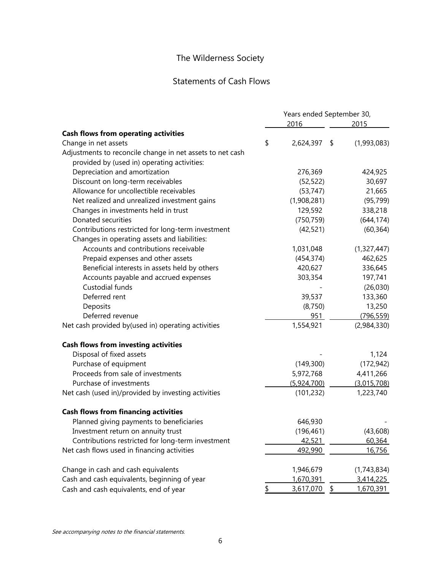## Statements of Cash Flows

|                                                           | Years ended September 30, |               |             |
|-----------------------------------------------------------|---------------------------|---------------|-------------|
|                                                           | 2016                      |               | 2015        |
| <b>Cash flows from operating activities</b>               |                           |               |             |
| Change in net assets                                      | \$<br>2,624,397 \$        |               | (1,993,083) |
| Adjustments to reconcile change in net assets to net cash |                           |               |             |
| provided by (used in) operating activities:               |                           |               |             |
| Depreciation and amortization                             | 276,369                   |               | 424,925     |
| Discount on long-term receivables                         | (52, 522)                 |               | 30,697      |
| Allowance for uncollectible receivables                   | (53, 747)                 |               | 21,665      |
| Net realized and unrealized investment gains              | (1,908,281)               |               | (95, 799)   |
| Changes in investments held in trust                      | 129,592                   |               | 338,218     |
| Donated securities                                        | (750, 759)                |               | (644, 174)  |
| Contributions restricted for long-term investment         | (42, 521)                 |               | (60, 364)   |
| Changes in operating assets and liabilities:              |                           |               |             |
| Accounts and contributions receivable                     | 1,031,048                 |               | (1,327,447) |
| Prepaid expenses and other assets                         | (454, 374)                |               | 462,625     |
| Beneficial interests in assets held by others             | 420,627                   |               | 336,645     |
| Accounts payable and accrued expenses                     | 303,354                   |               | 197,741     |
| Custodial funds                                           |                           |               | (26,030)    |
| Deferred rent                                             | 39,537                    |               | 133,360     |
| Deposits                                                  | (8,750)                   |               | 13,250      |
| Deferred revenue                                          | 951                       |               | (796, 559)  |
| Net cash provided by(used in) operating activities        | 1,554,921                 |               | (2,984,330) |
| <b>Cash flows from investing activities</b>               |                           |               |             |
| Disposal of fixed assets                                  |                           |               | 1,124       |
| Purchase of equipment                                     | (149,300)                 |               | (172, 942)  |
| Proceeds from sale of investments                         | 5,972,768                 |               | 4,411,266   |
| Purchase of investments                                   | (5,924,700)               |               | (3,015,708) |
| Net cash (used in)/provided by investing activities       | (101, 232)                |               | 1,223,740   |
| <b>Cash flows from financing activities</b>               |                           |               |             |
| Planned giving payments to beneficiaries                  | 646,930                   |               |             |
| Investment return on annuity trust                        | (196, 461)                |               | (43,608)    |
| Contributions restricted for long-term investment         | 42,521                    |               | 60,364      |
| Net cash flows used in financing activities               | 492,990                   |               | 16,756      |
| Change in cash and cash equivalents                       | 1,946,679                 |               | (1,743,834) |
| Cash and cash equivalents, beginning of year              | 1,670,391                 |               | 3,414,225   |
| Cash and cash equivalents, end of year                    | \$<br>3,617,070           | $\frac{1}{2}$ | 1,670,391   |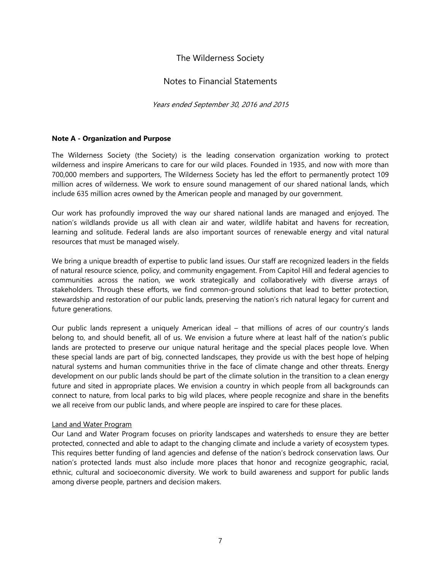## Notes to Financial Statements

Years ended September 30, 2016 and 2015

#### **Note A - Organization and Purpose**

The Wilderness Society (the Society) is the leading conservation organization working to protect wilderness and inspire Americans to care for our wild places. Founded in 1935, and now with more than 700,000 members and supporters, The Wilderness Society has led the effort to permanently protect 109 million acres of wilderness. We work to ensure sound management of our shared national lands, which include 635 million acres owned by the American people and managed by our government.

Our work has profoundly improved the way our shared national lands are managed and enjoyed. The nation's wildlands provide us all with clean air and water, wildlife habitat and havens for recreation, learning and solitude. Federal lands are also important sources of renewable energy and vital natural resources that must be managed wisely.

We bring a unique breadth of expertise to public land issues. Our staff are recognized leaders in the fields of natural resource science, policy, and community engagement. From Capitol Hill and federal agencies to communities across the nation, we work strategically and collaboratively with diverse arrays of stakeholders. Through these efforts, we find common-ground solutions that lead to better protection, stewardship and restoration of our public lands, preserving the nation's rich natural legacy for current and future generations.

Our public lands represent a uniquely American ideal – that millions of acres of our country's lands belong to, and should benefit, all of us. We envision a future where at least half of the nation's public lands are protected to preserve our unique natural heritage and the special places people love. When these special lands are part of big, connected landscapes, they provide us with the best hope of helping natural systems and human communities thrive in the face of climate change and other threats. Energy development on our public lands should be part of the climate solution in the transition to a clean energy future and sited in appropriate places. We envision a country in which people from all backgrounds can connect to nature, from local parks to big wild places, where people recognize and share in the benefits we all receive from our public lands, and where people are inspired to care for these places.

#### Land and Water Program

Our Land and Water Program focuses on priority landscapes and watersheds to ensure they are better protected, connected and able to adapt to the changing climate and include a variety of ecosystem types. This requires better funding of land agencies and defense of the nation's bedrock conservation laws. Our nation's protected lands must also include more places that honor and recognize geographic, racial, ethnic, cultural and socioeconomic diversity. We work to build awareness and support for public lands among diverse people, partners and decision makers.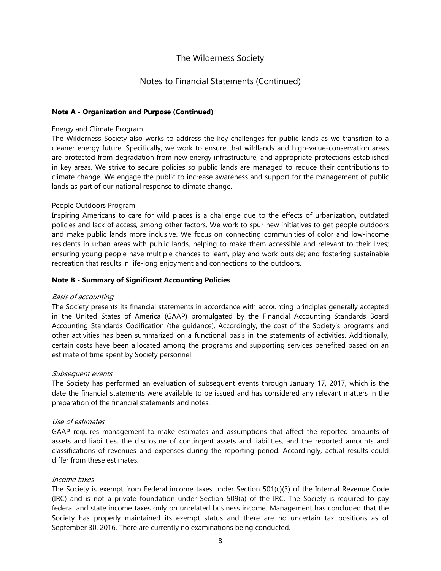### Notes to Financial Statements (Continued)

#### **Note A - Organization and Purpose (Continued)**

#### Energy and Climate Program

The Wilderness Society also works to address the key challenges for public lands as we transition to a cleaner energy future. Specifically, we work to ensure that wildlands and high-value-conservation areas are protected from degradation from new energy infrastructure, and appropriate protections established in key areas. We strive to secure policies so public lands are managed to reduce their contributions to climate change. We engage the public to increase awareness and support for the management of public lands as part of our national response to climate change.

#### People Outdoors Program

Inspiring Americans to care for wild places is a challenge due to the effects of urbanization, outdated policies and lack of access, among other factors. We work to spur new initiatives to get people outdoors and make public lands more inclusive. We focus on connecting communities of color and low-income residents in urban areas with public lands, helping to make them accessible and relevant to their lives; ensuring young people have multiple chances to learn, play and work outside; and fostering sustainable recreation that results in life-long enjoyment and connections to the outdoors.

#### **Note B - Summary of Significant Accounting Policies**

#### Basis of accounting

The Society presents its financial statements in accordance with accounting principles generally accepted in the United States of America (GAAP) promulgated by the Financial Accounting Standards Board Accounting Standards Codification (the guidance). Accordingly, the cost of the Society's programs and other activities has been summarized on a functional basis in the statements of activities. Additionally, certain costs have been allocated among the programs and supporting services benefited based on an estimate of time spent by Society personnel.

#### Subsequent events

The Society has performed an evaluation of subsequent events through January 17, 2017, which is the date the financial statements were available to be issued and has considered any relevant matters in the preparation of the financial statements and notes.

#### Use of estimates

GAAP requires management to make estimates and assumptions that affect the reported amounts of assets and liabilities, the disclosure of contingent assets and liabilities, and the reported amounts and classifications of revenues and expenses during the reporting period. Accordingly, actual results could differ from these estimates.

#### Income taxes

The Society is exempt from Federal income taxes under Section 501(c)(3) of the Internal Revenue Code (IRC) and is not a private foundation under Section 509(a) of the IRC. The Society is required to pay federal and state income taxes only on unrelated business income. Management has concluded that the Society has properly maintained its exempt status and there are no uncertain tax positions as of September 30, 2016. There are currently no examinations being conducted.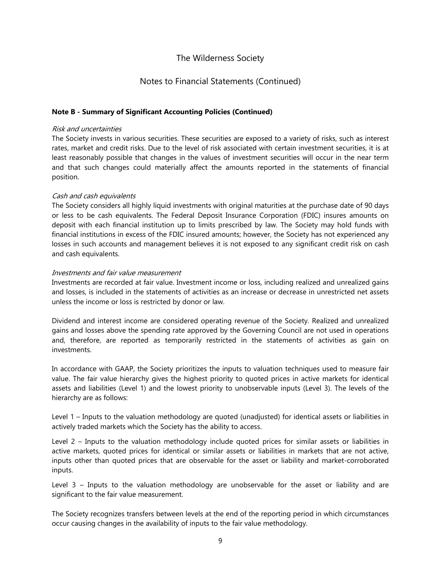## Notes to Financial Statements (Continued)

#### **Note B - Summary of Significant Accounting Policies (Continued)**

#### Risk and uncertainties

The Society invests in various securities. These securities are exposed to a variety of risks, such as interest rates, market and credit risks. Due to the level of risk associated with certain investment securities, it is at least reasonably possible that changes in the values of investment securities will occur in the near term and that such changes could materially affect the amounts reported in the statements of financial position.

#### Cash and cash equivalents

The Society considers all highly liquid investments with original maturities at the purchase date of 90 days or less to be cash equivalents. The Federal Deposit Insurance Corporation (FDIC) insures amounts on deposit with each financial institution up to limits prescribed by law. The Society may hold funds with financial institutions in excess of the FDIC insured amounts; however, the Society has not experienced any losses in such accounts and management believes it is not exposed to any significant credit risk on cash and cash equivalents.

#### Investments and fair value measurement

Investments are recorded at fair value. Investment income or loss, including realized and unrealized gains and losses, is included in the statements of activities as an increase or decrease in unrestricted net assets unless the income or loss is restricted by donor or law.

Dividend and interest income are considered operating revenue of the Society. Realized and unrealized gains and losses above the spending rate approved by the Governing Council are not used in operations and, therefore, are reported as temporarily restricted in the statements of activities as gain on investments.

In accordance with GAAP, the Society prioritizes the inputs to valuation techniques used to measure fair value. The fair value hierarchy gives the highest priority to quoted prices in active markets for identical assets and liabilities (Level 1) and the lowest priority to unobservable inputs (Level 3). The levels of the hierarchy are as follows:

Level 1 – Inputs to the valuation methodology are quoted (unadjusted) for identical assets or liabilities in actively traded markets which the Society has the ability to access.

Level 2 – Inputs to the valuation methodology include quoted prices for similar assets or liabilities in active markets, quoted prices for identical or similar assets or liabilities in markets that are not active, inputs other than quoted prices that are observable for the asset or liability and market-corroborated inputs.

Level 3 – Inputs to the valuation methodology are unobservable for the asset or liability and are significant to the fair value measurement.

The Society recognizes transfers between levels at the end of the reporting period in which circumstances occur causing changes in the availability of inputs to the fair value methodology.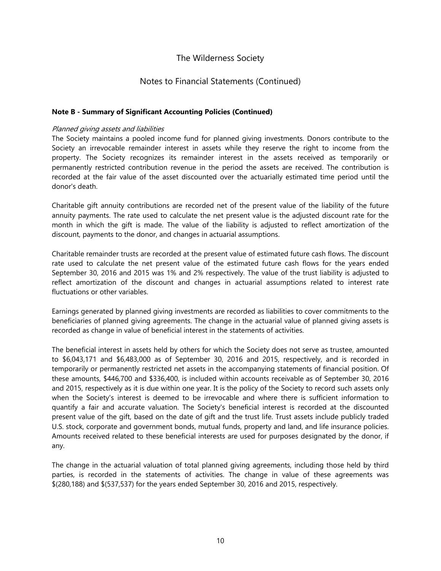## Notes to Financial Statements (Continued)

#### **Note B - Summary of Significant Accounting Policies (Continued)**

#### Planned giving assets and liabilities

The Society maintains a pooled income fund for planned giving investments. Donors contribute to the Society an irrevocable remainder interest in assets while they reserve the right to income from the property. The Society recognizes its remainder interest in the assets received as temporarily or permanently restricted contribution revenue in the period the assets are received. The contribution is recorded at the fair value of the asset discounted over the actuarially estimated time period until the donor's death.

Charitable gift annuity contributions are recorded net of the present value of the liability of the future annuity payments. The rate used to calculate the net present value is the adjusted discount rate for the month in which the gift is made. The value of the liability is adjusted to reflect amortization of the discount, payments to the donor, and changes in actuarial assumptions.

Charitable remainder trusts are recorded at the present value of estimated future cash flows. The discount rate used to calculate the net present value of the estimated future cash flows for the years ended September 30, 2016 and 2015 was 1% and 2% respectively. The value of the trust liability is adjusted to reflect amortization of the discount and changes in actuarial assumptions related to interest rate fluctuations or other variables.

Earnings generated by planned giving investments are recorded as liabilities to cover commitments to the beneficiaries of planned giving agreements. The change in the actuarial value of planned giving assets is recorded as change in value of beneficial interest in the statements of activities.

The beneficial interest in assets held by others for which the Society does not serve as trustee, amounted to \$6,043,171 and \$6,483,000 as of September 30, 2016 and 2015, respectively, and is recorded in temporarily or permanently restricted net assets in the accompanying statements of financial position. Of these amounts, \$446,700 and \$336,400, is included within accounts receivable as of September 30, 2016 and 2015, respectively as it is due within one year. It is the policy of the Society to record such assets only when the Society's interest is deemed to be irrevocable and where there is sufficient information to quantify a fair and accurate valuation. The Society's beneficial interest is recorded at the discounted present value of the gift, based on the date of gift and the trust life. Trust assets include publicly traded U.S. stock, corporate and government bonds, mutual funds, property and land, and life insurance policies. Amounts received related to these beneficial interests are used for purposes designated by the donor, if any.

The change in the actuarial valuation of total planned giving agreements, including those held by third parties, is recorded in the statements of activities. The change in value of these agreements was \$(280,188) and \$(537,537) for the years ended September 30, 2016 and 2015, respectively.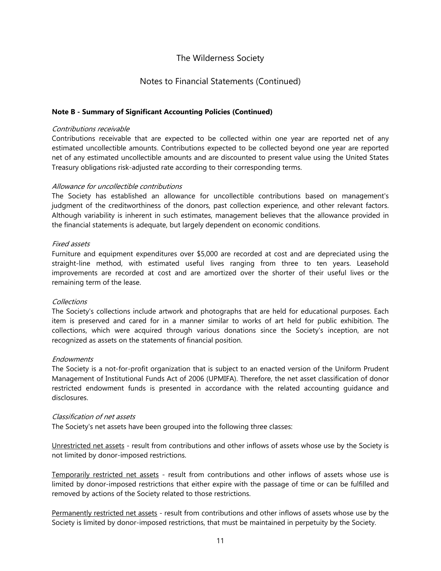## Notes to Financial Statements (Continued)

#### **Note B - Summary of Significant Accounting Policies (Continued)**

#### Contributions receivable

Contributions receivable that are expected to be collected within one year are reported net of any estimated uncollectible amounts. Contributions expected to be collected beyond one year are reported net of any estimated uncollectible amounts and are discounted to present value using the United States Treasury obligations risk-adjusted rate according to their corresponding terms.

#### Allowance for uncollectible contributions

The Society has established an allowance for uncollectible contributions based on management's judgment of the creditworthiness of the donors, past collection experience, and other relevant factors. Although variability is inherent in such estimates, management believes that the allowance provided in the financial statements is adequate, but largely dependent on economic conditions.

#### Fixed assets

Furniture and equipment expenditures over \$5,000 are recorded at cost and are depreciated using the straight-line method, with estimated useful lives ranging from three to ten years. Leasehold improvements are recorded at cost and are amortized over the shorter of their useful lives or the remaining term of the lease.

#### **Collections**

The Society's collections include artwork and photographs that are held for educational purposes. Each item is preserved and cared for in a manner similar to works of art held for public exhibition. The collections, which were acquired through various donations since the Society's inception, are not recognized as assets on the statements of financial position.

#### **Endowments**

The Society is a not-for-profit organization that is subject to an enacted version of the Uniform Prudent Management of Institutional Funds Act of 2006 (UPMIFA). Therefore, the net asset classification of donor restricted endowment funds is presented in accordance with the related accounting guidance and disclosures.

#### Classification of net assets

The Society's net assets have been grouped into the following three classes:

Unrestricted net assets - result from contributions and other inflows of assets whose use by the Society is not limited by donor-imposed restrictions.

Temporarily restricted net assets - result from contributions and other inflows of assets whose use is limited by donor-imposed restrictions that either expire with the passage of time or can be fulfilled and removed by actions of the Society related to those restrictions.

Permanently restricted net assets - result from contributions and other inflows of assets whose use by the Society is limited by donor-imposed restrictions, that must be maintained in perpetuity by the Society.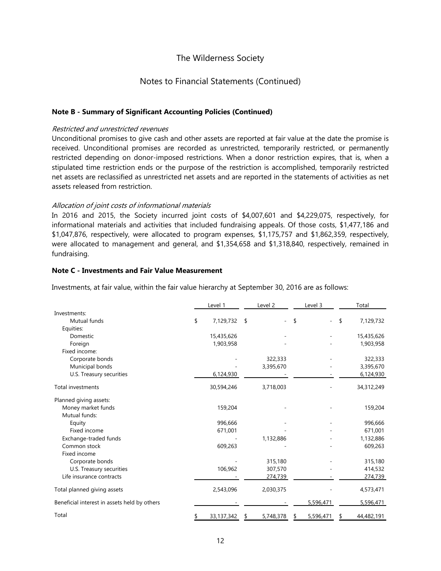### Notes to Financial Statements (Continued)

#### **Note B - Summary of Significant Accounting Policies (Continued)**

#### Restricted and unrestricted revenues

Unconditional promises to give cash and other assets are reported at fair value at the date the promise is received. Unconditional promises are recorded as unrestricted, temporarily restricted, or permanently restricted depending on donor-imposed restrictions. When a donor restriction expires, that is, when a stipulated time restriction ends or the purpose of the restriction is accomplished, temporarily restricted net assets are reclassified as unrestricted net assets and are reported in the statements of activities as net assets released from restriction.

#### Allocation of joint costs of informational materials

In 2016 and 2015, the Society incurred joint costs of \$4,007,601 and \$4,229,075, respectively, for informational materials and activities that included fundraising appeals. Of those costs, \$1,477,186 and \$1,047,876, respectively, were allocated to program expenses, \$1,175,757 and \$1,862,359, respectively, were allocated to management and general, and \$1,354,658 and \$1,318,840, respectively, remained in fundraising.

#### **Note C - Investments and Fair Value Measurement**

Investments, at fair value, within the fair value hierarchy at September 30, 2016 are as follows:

|                                              | Level 1         | Level 2   | Level 3   | Total           |
|----------------------------------------------|-----------------|-----------|-----------|-----------------|
| Investments:                                 |                 |           |           |                 |
| Mutual funds                                 | \$<br>7,129,732 | \$        | \$        | \$<br>7,129,732 |
| Equities:                                    |                 |           |           |                 |
| Domestic                                     | 15,435,626      |           |           | 15,435,626      |
| Foreign                                      | 1,903,958       |           |           | 1,903,958       |
| Fixed income:                                |                 |           |           |                 |
| Corporate bonds                              |                 | 322,333   |           | 322,333         |
| Municipal bonds                              |                 | 3,395,670 |           | 3,395,670       |
| U.S. Treasury securities                     | 6,124,930       |           |           | 6,124,930       |
| <b>Total investments</b>                     | 30,594,246      | 3,718,003 |           | 34,312,249      |
| Planned giving assets:                       |                 |           |           |                 |
| Money market funds                           | 159,204         |           |           | 159,204         |
| Mutual funds:                                |                 |           |           |                 |
| Equity                                       | 996,666         |           |           | 996,666         |
| Fixed income                                 | 671,001         |           |           | 671,001         |
| Exchange-traded funds                        |                 | 1,132,886 |           | 1,132,886       |
| Common stock                                 | 609,263         |           |           | 609,263         |
| Fixed income                                 |                 |           |           |                 |
| Corporate bonds                              |                 | 315,180   |           | 315,180         |
| U.S. Treasury securities                     | 106,962         | 307,570   |           | 414,532         |
| Life insurance contracts                     |                 | 274,739   |           | 274,739         |
| Total planned giving assets                  | 2,543,096       | 2,030,375 |           | 4,573,471       |
| Beneficial interest in assets held by others |                 |           | 5,596,471 | 5,596,471       |
| Total                                        | 33,137,342      | 5,748,378 | 5,596,471 | 44,482,191      |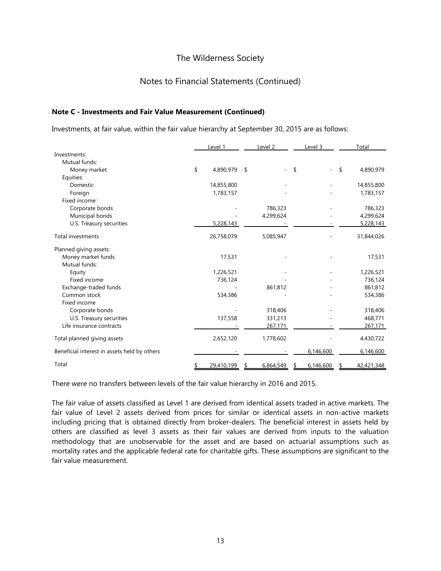### Notes to Financial Statements (Continued)

#### **Note C - Investments and Fair Value Measurement (Continued)**

Investments, at fair value, within the fair value hierarchy at September 30, 2015 are as follows:

|                                              | Level 1         | Level 2   | Level 3   | Total           |
|----------------------------------------------|-----------------|-----------|-----------|-----------------|
| Investments:                                 |                 |           |           |                 |
| Mutual funds:                                |                 |           |           |                 |
| Money market                                 | \$<br>4,890,979 | \$        | \$        | \$<br>4,890,979 |
| Equities:                                    |                 |           |           |                 |
| Domestic                                     | 14,855,800      |           |           | 14,855,800      |
| Foreign                                      | 1,783,157       |           |           | 1,783,157       |
| Fixed income:                                |                 |           |           |                 |
| Corporate bonds                              |                 | 786,323   |           | 786,323         |
| Municipal bonds                              |                 | 4,299,624 |           | 4,299,624       |
| U.S. Treasury securities                     | 5,228,143       |           |           | 5,228,143       |
| <b>Total investments</b>                     | 26,758,079      | 5,085,947 |           | 31,844,026      |
| Planned giving assets:                       |                 |           |           |                 |
| Money market funds                           | 17,531          |           |           | 17,531          |
| Mutual funds:                                |                 |           |           |                 |
| Equity                                       | 1,226,521       |           |           | 1,226,521       |
| Fixed income                                 | 736,124         |           |           | 736,124         |
| Exchange-traded funds                        |                 | 861,812   |           | 861,812         |
| Common stock<br>Fixed income                 | 534,386         |           |           | 534,386         |
| Corporate bonds                              |                 | 318,406   |           | 318,406         |
| U.S. Treasury securities                     | 137,558         | 331,213   |           | 468,771         |
| Life insurance contracts                     |                 | 267,171   |           | 267,171         |
| Total planned giving assets                  | 2,652,120       | 1,778,602 |           | 4,430,722       |
| Beneficial interest in assets held by others |                 |           | 6,146,600 | 6,146,600       |
| Total                                        | 29,410,199      | 6,864,549 | 6,146,600 | 42,421,348      |

There were no transfers between levels of the fair value hierarchy in 2016 and 2015.

The fair value of assets classified as Level 1 are derived from identical assets traded in active markets. The fair value of Level 2 assets derived from prices for similar or identical assets in non-active markets including pricing that is obtained directly from broker-dealers. The beneficial interest in assets held by others are classified as level 3 assets as their fair values are derived from inputs to the valuation methodology that are unobservable for the asset and are based on actuarial assumptions such as mortality rates and the applicable federal rate for charitable gifts. These assumptions are significant to the fair value measurement.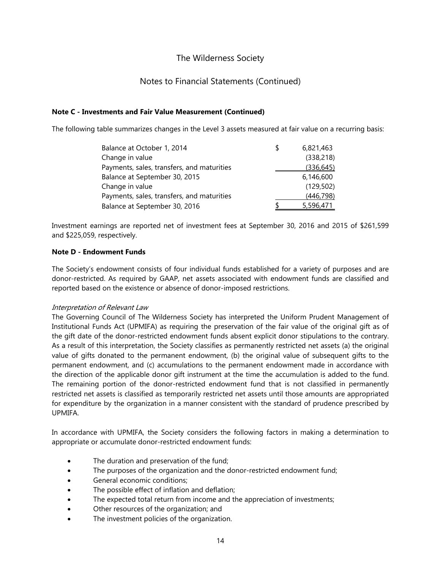## Notes to Financial Statements (Continued)

### **Note C - Investments and Fair Value Measurement (Continued)**

The following table summarizes changes in the Level 3 assets measured at fair value on a recurring basis:

| Balance at October 1, 2014                 | 6,821,463  |
|--------------------------------------------|------------|
| Change in value                            | (338, 218) |
| Payments, sales, transfers, and maturities | (336, 645) |
| Balance at September 30, 2015              | 6,146,600  |
| Change in value                            | (129, 502) |
| Payments, sales, transfers, and maturities | (446, 798) |
| Balance at September 30, 2016              | 5,596,471  |

Investment earnings are reported net of investment fees at September 30, 2016 and 2015 of \$261,599 and \$225,059, respectively.

#### **Note D - Endowment Funds**

The Society's endowment consists of four individual funds established for a variety of purposes and are donor-restricted. As required by GAAP, net assets associated with endowment funds are classified and reported based on the existence or absence of donor-imposed restrictions.

#### Interpretation of Relevant Law

The Governing Council of The Wilderness Society has interpreted the Uniform Prudent Management of Institutional Funds Act (UPMIFA) as requiring the preservation of the fair value of the original gift as of the gift date of the donor-restricted endowment funds absent explicit donor stipulations to the contrary. As a result of this interpretation, the Society classifies as permanently restricted net assets (a) the original value of gifts donated to the permanent endowment, (b) the original value of subsequent gifts to the permanent endowment, and (c) accumulations to the permanent endowment made in accordance with the direction of the applicable donor gift instrument at the time the accumulation is added to the fund. The remaining portion of the donor-restricted endowment fund that is not classified in permanently restricted net assets is classified as temporarily restricted net assets until those amounts are appropriated for expenditure by the organization in a manner consistent with the standard of prudence prescribed by UPMIFA.

In accordance with UPMIFA, the Society considers the following factors in making a determination to appropriate or accumulate donor-restricted endowment funds:

- The duration and preservation of the fund;
- The purposes of the organization and the donor-restricted endowment fund;
- General economic conditions;
- The possible effect of inflation and deflation;
- The expected total return from income and the appreciation of investments;
- Other resources of the organization; and
- The investment policies of the organization.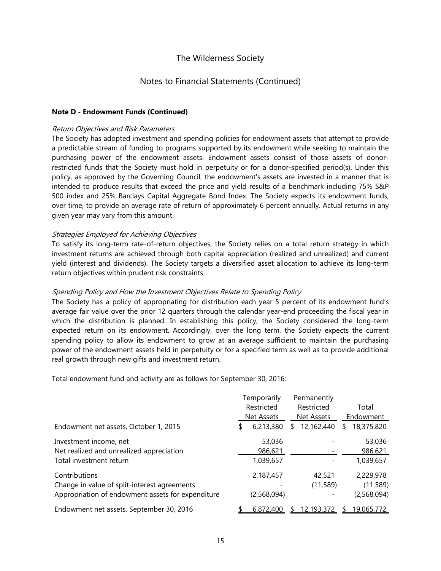### Notes to Financial Statements (Continued)

#### **Note D - Endowment Funds (Continued)**

#### Return Objectives and Risk Parameters

The Society has adopted investment and spending policies for endowment assets that attempt to provide a predictable stream of funding to programs supported by its endowment while seeking to maintain the purchasing power of the endowment assets. Endowment assets consist of those assets of donorrestricted funds that the Society must hold in perpetuity or for a donor-specified period(s). Under this policy, as approved by the Governing Council, the endowment's assets are invested in a manner that is intended to produce results that exceed the price and yield results of a benchmark including 75% S&P 500 index and 25% Barclays Capital Aggregate Bond Index. The Society expects its endowment funds, over time, to provide an average rate of return of approximately 6 percent annually. Actual returns in any given year may vary from this amount.

#### Strategies Employed for Achieving Objectives

To satisfy its long-term rate-of-return objectives, the Society relies on a total return strategy in which investment returns are achieved through both capital appreciation (realized and unrealized) and current yield (interest and dividends). The Society targets a diversified asset allocation to achieve its long-term return objectives within prudent risk constraints.

#### Spending Policy and How the Investment Objectives Relate to Spending Policy

The Society has a policy of appropriating for distribution each year 5 percent of its endowment fund's average fair value over the prior 12 quarters through the calendar year-end proceeding the fiscal year in which the distribution is planned. In establishing this policy, the Society considered the long-term expected return on its endowment. Accordingly, over the long term, the Society expects the current spending policy to allow its endowment to grow at an average sufficient to maintain the purchasing power of the endowment assets held in perpetuity or for a specified term as well as to provide additional real growth through new gifts and investment return.

Total endowment fund and activity are as follows for September 30, 2016:

|                                                   | Temporarily       | Permanently     |                  |
|---------------------------------------------------|-------------------|-----------------|------------------|
|                                                   | Restricted        | Restricted      | Total            |
|                                                   | <b>Net Assets</b> | Net Assets      | Endowment        |
| Endowment net assets, October 1, 2015             | 6,213,380<br>S    | 12,162,440<br>S | 18,375,820<br>S. |
| Investment income, net                            | 53,036            |                 | 53,036           |
| Net realized and unrealized appreciation          | 986,621           |                 | 986,621          |
| Total investment return                           | 1,039,657         |                 | 1,039,657        |
| Contributions                                     | 2,187,457         | 42,521          | 2,229,978        |
| Change in value of split-interest agreements      |                   | (11, 589)       | (11, 589)        |
| Appropriation of endowment assets for expenditure | (2,568,094)       |                 | (2,568,094)      |
| Endowment net assets, September 30, 2016          | 6,872,400         | 12,193,372      | 19,065,772       |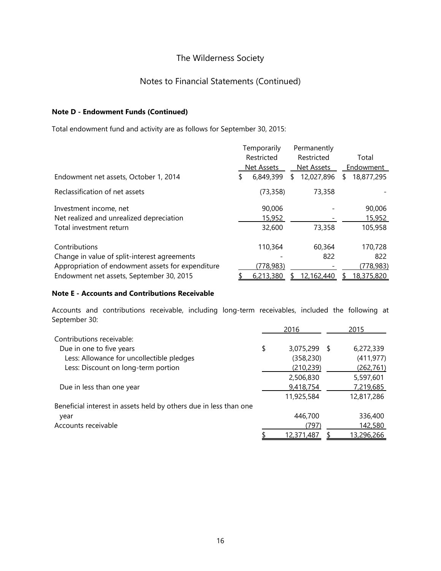## Notes to Financial Statements (Continued)

## **Note D - Endowment Funds (Continued)**

Total endowment fund and activity are as follows for September 30, 2015:

|                                                   |            | Temporarily |    | Permanently       |   |            |
|---------------------------------------------------|------------|-------------|----|-------------------|---|------------|
|                                                   | Restricted |             |    | Restricted        |   | Total      |
|                                                   |            | Net Assets  |    | <b>Net Assets</b> |   | Endowment  |
| Endowment net assets, October 1, 2014             | \$         | 6,849,399   | S. | 12,027,896        | S | 18,877,295 |
| Reclassification of net assets                    |            | (73, 358)   |    | 73,358            |   |            |
| Investment income, net                            |            | 90,006      |    |                   |   | 90,006     |
| Net realized and unrealized depreciation          |            | 15,952      |    |                   |   | 15,952     |
| Total investment return                           |            | 32,600      |    | 73,358            |   | 105,958    |
| Contributions                                     |            | 110,364     |    | 60,364            |   | 170,728    |
| Change in value of split-interest agreements      |            |             |    | 822               |   | 822        |
| Appropriation of endowment assets for expenditure |            | (778,983)   |    |                   |   | (778, 983) |
| Endowment net assets, September 30, 2015          |            | 6,213,380   |    | 12,162,440        |   | 18,375,820 |

### **Note E - Accounts and Contributions Receivable**

Accounts and contributions receivable, including long-term receivables, included the following at September 30:

|                                                                   | 2016            |    | 2015           |
|-------------------------------------------------------------------|-----------------|----|----------------|
| Contributions receivable:                                         |                 |    |                |
| Due in one to five years                                          | \$<br>3,075,299 | -S | 6,272,339      |
| Less: Allowance for uncollectible pledges                         | (358, 230)      |    | (411, 977)     |
| Less: Discount on long-term portion                               | (210, 239)      |    | (262, 761)     |
|                                                                   | 2,506,830       |    | 5,597,601      |
| Due in less than one year                                         | 9,418,754       |    | 7,219,685      |
|                                                                   | 11,925,584      |    | 12,817,286     |
| Beneficial interest in assets held by others due in less than one |                 |    |                |
| year                                                              | 446,700         |    | 336,400        |
| Accounts receivable                                               | (797)           |    | <u>142,580</u> |
|                                                                   | 12,371,487      |    | 13,296,266     |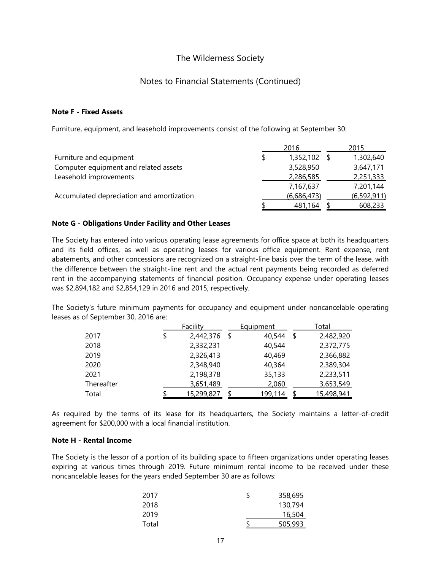## Notes to Financial Statements (Continued)

#### **Note F - Fixed Assets**

Furniture, equipment, and leasehold improvements consist of the following at September 30:

|                                           | 2016 |             | 2015 |               |
|-------------------------------------------|------|-------------|------|---------------|
| Furniture and equipment                   |      | 1,352,102   | -S   | 1,302,640     |
| Computer equipment and related assets     |      | 3,528,950   |      | 3,647,171     |
| Leasehold improvements                    |      | 2,286,585   |      | 2,251,333     |
|                                           |      | 7,167,637   |      | 7,201,144     |
| Accumulated depreciation and amortization |      | (6,686,473) |      | (6, 592, 911) |
|                                           |      | 481,164     |      | 608,233       |

#### **Note G - Obligations Under Facility and Other Leases**

The Society has entered into various operating lease agreements for office space at both its headquarters and its field offices, as well as operating leases for various office equipment. Rent expense, rent abatements, and other concessions are recognized on a straight-line basis over the term of the lease, with the difference between the straight-line rent and the actual rent payments being recorded as deferred rent in the accompanying statements of financial position. Occupancy expense under operating leases was \$2,894,182 and \$2,854,129 in 2016 and 2015, respectively.

The Society's future minimum payments for occupancy and equipment under noncancelable operating leases as of September 30, 2016 are:

|            | Facility        | Equipment    | Total           |
|------------|-----------------|--------------|-----------------|
| 2017       | \$<br>2,442,376 | \$<br>40,544 | \$<br>2,482,920 |
| 2018       | 2,332,231       | 40,544       | 2,372,775       |
| 2019       | 2,326,413       | 40,469       | 2,366,882       |
| 2020       | 2,348,940       | 40,364       | 2,389,304       |
| 2021       | 2,198,378       | 35,133       | 2,233,511       |
| Thereafter | 3,651,489       | 2,060        | 3,653,549       |
| Total      | 15,299,827      | 199,114      | 15,498,941      |

As required by the terms of its lease for its headquarters, the Society maintains a letter-of-credit agreement for \$200,000 with a local financial institution.

### **Note H - Rental Income**

The Society is the lessor of a portion of its building space to fifteen organizations under operating leases expiring at various times through 2019. Future minimum rental income to be received under these noncancelable leases for the years ended September 30 are as follows:

| 2017  | 358,695 |
|-------|---------|
| 2018  | 130,794 |
| 2019  | 16,504  |
| Total | 505,993 |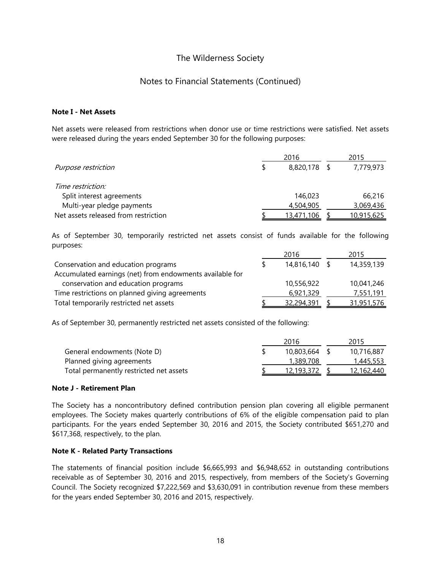### Notes to Financial Statements (Continued)

#### **Note I - Net Assets**

Net assets were released from restrictions when donor use or time restrictions were satisfied. Net assets were released during the years ended September 30 for the following purposes:

|                                      | 2016 |            |  | 2015       |  |  |
|--------------------------------------|------|------------|--|------------|--|--|
| Purpose restriction                  |      | 8,820,178  |  | 7,779,973  |  |  |
| Time restriction:                    |      |            |  |            |  |  |
| Split interest agreements            |      | 146,023    |  | 66,216     |  |  |
| Multi-year pledge payments           |      | 4,504,905  |  | 3,069,436  |  |  |
| Net assets released from restriction |      | 13,471,106 |  | 10,915,625 |  |  |

As of September 30, temporarily restricted net assets consist of funds available for the following purposes:

|                                                          | 2016          | 2015       |
|----------------------------------------------------------|---------------|------------|
| Conservation and education programs                      | 14,816,140 \$ | 14,359,139 |
| Accumulated earnings (net) from endowments available for |               |            |
| conservation and education programs                      | 10,556,922    | 10,041,246 |
| Time restrictions on planned giving agreements           | 6,921,329     | 7,551,191  |
| Total temporarily restricted net assets                  | 32,294,391    | 31,951,576 |

As of September 30, permanently restricted net assets consisted of the following:

|                                         | 2016 |            | 2015 |            |
|-----------------------------------------|------|------------|------|------------|
| General endowments (Note D)             |      | 10,803,664 |      | 10.716.887 |
| Planned giving agreements               |      | 1,389,708  |      | 1,445,553  |
| Total permanently restricted net assets |      | 12,193,372 |      | 12,162,440 |

#### **Note J - Retirement Plan**

The Society has a noncontributory defined contribution pension plan covering all eligible permanent employees. The Society makes quarterly contributions of 6% of the eligible compensation paid to plan participants. For the years ended September 30, 2016 and 2015, the Society contributed \$651,270 and \$617,368, respectively, to the plan.

#### **Note K - Related Party Transactions**

The statements of financial position include \$6,665,993 and \$6,948,652 in outstanding contributions receivable as of September 30, 2016 and 2015, respectively, from members of the Society's Governing Council. The Society recognized \$7,222,569 and \$3,630,091 in contribution revenue from these members for the years ended September 30, 2016 and 2015, respectively.